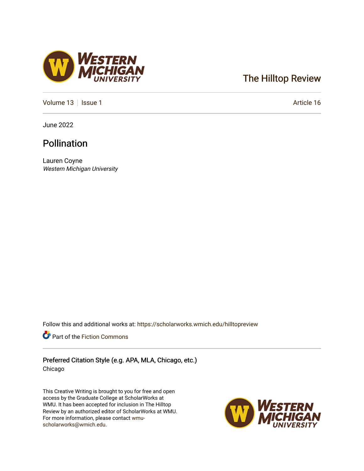## [The Hilltop Review](https://scholarworks.wmich.edu/hilltopreview)

[Volume 13](https://scholarworks.wmich.edu/hilltopreview/vol13) | [Issue 1](https://scholarworks.wmich.edu/hilltopreview/vol13/iss1) Article 16

June 2022

## Pollination

Lauren Coyne Western Michigan University

Follow this and additional works at: [https://scholarworks.wmich.edu/hilltopreview](https://scholarworks.wmich.edu/hilltopreview?utm_source=scholarworks.wmich.edu%2Fhilltopreview%2Fvol13%2Fiss1%2F16&utm_medium=PDF&utm_campaign=PDFCoverPages)

Part of the [Fiction Commons](https://network.bepress.com/hgg/discipline/1151?utm_source=scholarworks.wmich.edu%2Fhilltopreview%2Fvol13%2Fiss1%2F16&utm_medium=PDF&utm_campaign=PDFCoverPages) 

Preferred Citation Style (e.g. APA, MLA, Chicago, etc.) Chicago

This Creative Writing is brought to you for free and open access by the Graduate College at ScholarWorks at WMU. It has been accepted for inclusion in The Hilltop Review by an authorized editor of ScholarWorks at WMU. For more information, please contact [wmu](mailto:wmu-scholarworks@wmich.edu)[scholarworks@wmich.edu.](mailto:wmu-scholarworks@wmich.edu)



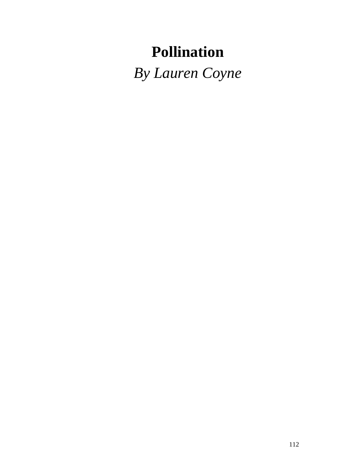## **Pollination**

*By Lauren Coyne*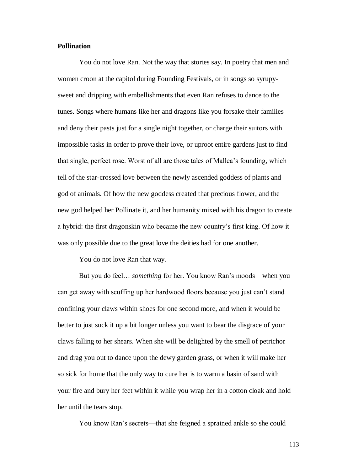## **Pollination**

You do not love Ran. Not the way that stories say. In poetry that men and women croon at the capitol during Founding Festivals, or in songs so syrupysweet and dripping with embellishments that even Ran refuses to dance to the tunes. Songs where humans like her and dragons like you forsake their families and deny their pasts just for a single night together, or charge their suitors with impossible tasks in order to prove their love, or uproot entire gardens just to find that single, perfect rose. Worst of all are those tales of Mallea's founding, which tell of the star-crossed love between the newly ascended goddess of plants and god of animals. Of how the new goddess created that precious flower, and the new god helped her Pollinate it, and her humanity mixed with his dragon to create a hybrid: the first dragonskin who became the new country's first king. Of how it was only possible due to the great love the deities had for one another.

You do not love Ran that way.

But you do feel… *something* for her. You know Ran's moods—when you can get away with scuffing up her hardwood floors because you just can't stand confining your claws within shoes for one second more, and when it would be better to just suck it up a bit longer unless you want to bear the disgrace of your claws falling to her shears. When she will be delighted by the smell of petrichor and drag you out to dance upon the dewy garden grass, or when it will make her so sick for home that the only way to cure her is to warm a basin of sand with your fire and bury her feet within it while you wrap her in a cotton cloak and hold her until the tears stop.

You know Ran's secrets—that she feigned a sprained ankle so she could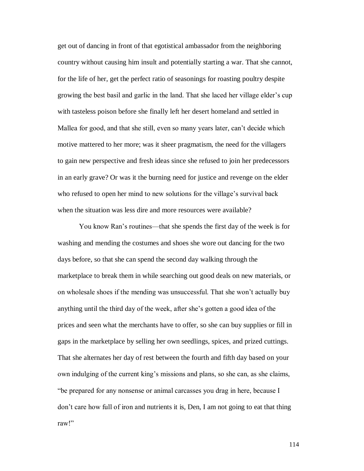get out of dancing in front of that egotistical ambassador from the neighboring country without causing him insult and potentially starting a war. That she cannot, for the life of her, get the perfect ratio of seasonings for roasting poultry despite growing the best basil and garlic in the land. That she laced her village elder's cup with tasteless poison before she finally left her desert homeland and settled in Mallea for good, and that she still, even so many years later, can't decide which motive mattered to her more; was it sheer pragmatism, the need for the villagers to gain new perspective and fresh ideas since she refused to join her predecessors in an early grave? Or was it the burning need for justice and revenge on the elder who refused to open her mind to new solutions for the village's survival back when the situation was less dire and more resources were available?

You know Ran's routines—that she spends the first day of the week is for washing and mending the costumes and shoes she wore out dancing for the two days before, so that she can spend the second day walking through the marketplace to break them in while searching out good deals on new materials, or on wholesale shoes if the mending was unsuccessful. That she won't actually buy anything until the third day of the week, after she's gotten a good idea of the prices and seen what the merchants have to offer, so she can buy supplies or fill in gaps in the marketplace by selling her own seedlings, spices, and prized cuttings. That she alternates her day of rest between the fourth and fifth day based on your own indulging of the current king's missions and plans, so she can, as she claims, "be prepared for any nonsense or animal carcasses you drag in here, because I don't care how full of iron and nutrients it is, Den, I am not going to eat that thing raw!"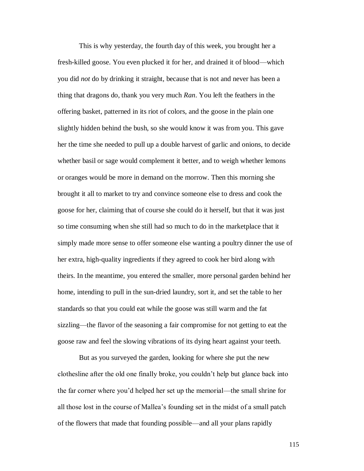This is why yesterday, the fourth day of this week, you brought her a fresh-killed goose. You even plucked it for her, and drained it of blood—which you did *not* do by drinking it straight, because that is not and never has been a thing that dragons do, thank you very much *Ran*. You left the feathers in the offering basket, patterned in its riot of colors, and the goose in the plain one slightly hidden behind the bush, so she would know it was from you. This gave her the time she needed to pull up a double harvest of garlic and onions, to decide whether basil or sage would complement it better, and to weigh whether lemons or oranges would be more in demand on the morrow. Then this morning she brought it all to market to try and convince someone else to dress and cook the goose for her, claiming that of course she could do it herself, but that it was just so time consuming when she still had so much to do in the marketplace that it simply made more sense to offer someone else wanting a poultry dinner the use of her extra, high-quality ingredients if they agreed to cook her bird along with theirs. In the meantime, you entered the smaller, more personal garden behind her home, intending to pull in the sun-dried laundry, sort it, and set the table to her standards so that you could eat while the goose was still warm and the fat sizzling—the flavor of the seasoning a fair compromise for not getting to eat the goose raw and feel the slowing vibrations of its dying heart against your teeth.

But as you surveyed the garden, looking for where she put the new clothesline after the old one finally broke, you couldn't help but glance back into the far corner where you'd helped her set up the memorial—the small shrine for all those lost in the course of Mallea's founding set in the midst of a small patch of the flowers that made that founding possible—and all your plans rapidly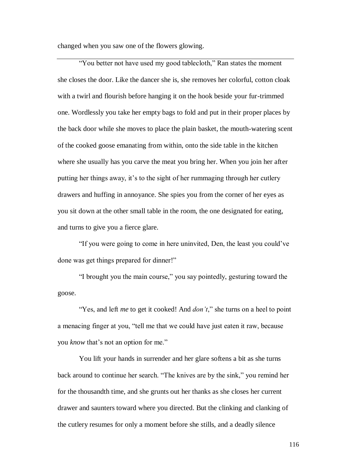changed when you saw one of the flowers glowing.

"You better not have used my good tablecloth," Ran states the moment she closes the door. Like the dancer she is, she removes her colorful, cotton cloak with a twirl and flourish before hanging it on the hook beside your fur-trimmed one. Wordlessly you take her empty bags to fold and put in their proper places by the back door while she moves to place the plain basket, the mouth-watering scent of the cooked goose emanating from within, onto the side table in the kitchen where she usually has you carve the meat you bring her. When you join her after putting her things away, it's to the sight of her rummaging through her cutlery drawers and huffing in annoyance. She spies you from the corner of her eyes as you sit down at the other small table in the room, the one designated for eating, and turns to give you a fierce glare.

"If you were going to come in here uninvited, Den, the least you could've done was get things prepared for dinner!"

"I brought you the main course," you say pointedly, gesturing toward the goose.

"Yes, and left *me* to get it cooked! And *don't*," she turns on a heel to point a menacing finger at you, "tell me that we could have just eaten it raw, because you *know* that's not an option for me."

You lift your hands in surrender and her glare softens a bit as she turns back around to continue her search. "The knives are by the sink," you remind her for the thousandth time, and she grunts out her thanks as she closes her current drawer and saunters toward where you directed. But the clinking and clanking of the cutlery resumes for only a moment before she stills, and a deadly silence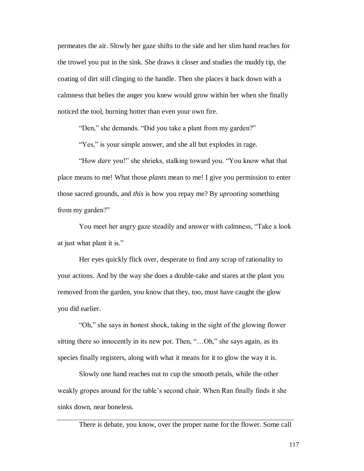permeates the air. Slowly her gaze shifts to the side and her slim hand reaches for the trowel you put in the sink. She draws it closer and studies the muddy tip, the coating of dirt still clinging to the handle. Then she places it back down with a calmness that belies the anger you knew would grow within her when she finally noticed the tool, burning hotter than even your own fire.

"Den," she demands. "Did you take a plant from my garden?"

"Yes," is your simple answer, and she all but explodes in rage.

"How *dare* you!" she shrieks, stalking toward you. "You know what that place means to me! What those *plants* mean to me! I give you permission to enter those sacred grounds, and *this* is how you repay me? By *uprooting* something from my garden?"

You meet her angry gaze steadily and answer with calmness, "Take a look at just what plant it is."

Her eyes quickly flick over, desperate to find any scrap of rationality to your actions. And by the way she does a double-take and stares at the plant you removed from the garden, you know that they, too, must have caught the glow you did earlier.

"Oh," she says in honest shock, taking in the sight of the glowing flower sitting there so innocently in its new pot. Then, "...Oh," she says again, as its species finally registers, along with what it means for it to glow the way it is.

Slowly one hand reaches out to cup the smooth petals, while the other weakly gropes around for the table's second chair. When Ran finally finds it she sinks down, near boneless.

There is debate, you know, over the proper name for the flower. Some call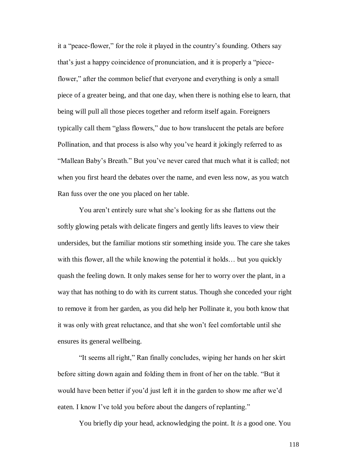it a "peace-flower," for the role it played in the country's founding. Others say that's just a happy coincidence of pronunciation, and it is properly a "pieceflower," after the common belief that everyone and everything is only a small piece of a greater being, and that one day, when there is nothing else to learn, that being will pull all those pieces together and reform itself again. Foreigners typically call them "glass flowers," due to how translucent the petals are before Pollination, and that process is also why you've heard it jokingly referred to as "Mallean Baby's Breath." But you've never cared that much what it is called; not when you first heard the debates over the name, and even less now, as you watch Ran fuss over the one you placed on her table.

You aren't entirely sure what she's looking for as she flattens out the softly glowing petals with delicate fingers and gently lifts leaves to view their undersides, but the familiar motions stir something inside you. The care she takes with this flower, all the while knowing the potential it holds... but you quickly quash the feeling down. It only makes sense for her to worry over the plant, in a way that has nothing to do with its current status. Though she conceded your right to remove it from her garden, as you did help her Pollinate it, you both know that it was only with great reluctance, and that she won't feel comfortable until she ensures its general wellbeing.

"It seems all right," Ran finally concludes, wiping her hands on her skirt before sitting down again and folding them in front of her on the table. "But it would have been better if you'd just left it in the garden to show me after we'd eaten. I know I've told you before about the dangers of replanting."

You briefly dip your head, acknowledging the point. It *is* a good one. You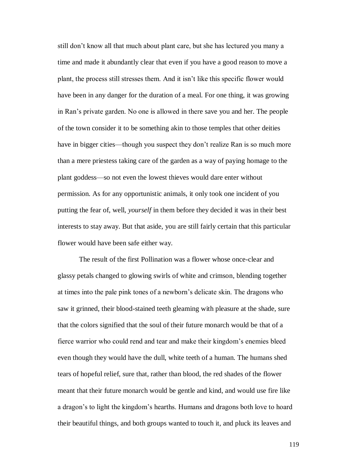still don't know all that much about plant care, but she has lectured you many a time and made it abundantly clear that even if you have a good reason to move a plant, the process still stresses them. And it isn't like this specific flower would have been in any danger for the duration of a meal. For one thing, it was growing in Ran's private garden. No one is allowed in there save you and her. The people of the town consider it to be something akin to those temples that other deities have in bigger cities—though you suspect they don't realize Ran is so much more than a mere priestess taking care of the garden as a way of paying homage to the plant goddess—so not even the lowest thieves would dare enter without permission. As for any opportunistic animals, it only took one incident of you putting the fear of, well, *yourself* in them before they decided it was in their best interests to stay away. But that aside, you are still fairly certain that this particular flower would have been safe either way.

The result of the first Pollination was a flower whose once-clear and glassy petals changed to glowing swirls of white and crimson, blending together at times into the pale pink tones of a newborn's delicate skin. The dragons who saw it grinned, their blood-stained teeth gleaming with pleasure at the shade, sure that the colors signified that the soul of their future monarch would be that of a fierce warrior who could rend and tear and make their kingdom's enemies bleed even though they would have the dull, white teeth of a human. The humans shed tears of hopeful relief, sure that, rather than blood, the red shades of the flower meant that their future monarch would be gentle and kind, and would use fire like a dragon's to light the kingdom's hearths. Humans and dragons both love to hoard their beautiful things, and both groups wanted to touch it, and pluck its leaves and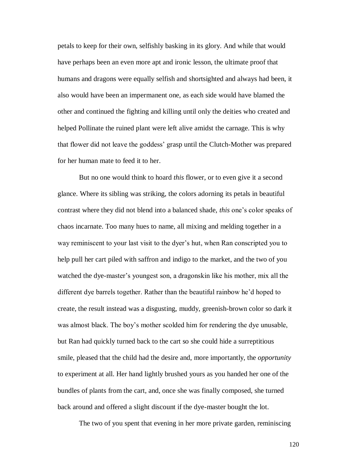petals to keep for their own, selfishly basking in its glory. And while that would have perhaps been an even more apt and ironic lesson, the ultimate proof that humans and dragons were equally selfish and shortsighted and always had been, it also would have been an impermanent one, as each side would have blamed the other and continued the fighting and killing until only the deities who created and helped Pollinate the ruined plant were left alive amidst the carnage. This is why that flower did not leave the goddess' grasp until the Clutch-Mother was prepared for her human mate to feed it to her.

But no one would think to hoard *this* flower, or to even give it a second glance. Where its sibling was striking, the colors adorning its petals in beautiful contrast where they did not blend into a balanced shade, *this* one's color speaks of chaos incarnate. Too many hues to name, all mixing and melding together in a way reminiscent to your last visit to the dyer's hut, when Ran conscripted you to help pull her cart piled with saffron and indigo to the market, and the two of you watched the dye-master's youngest son, a dragonskin like his mother, mix all the different dye barrels together. Rather than the beautiful rainbow he'd hoped to create, the result instead was a disgusting, muddy, greenish-brown color so dark it was almost black. The boy's mother scolded him for rendering the dye unusable, but Ran had quickly turned back to the cart so she could hide a surreptitious smile, pleased that the child had the desire and, more importantly, the *opportunity* to experiment at all. Her hand lightly brushed yours as you handed her one of the bundles of plants from the cart, and, once she was finally composed, she turned back around and offered a slight discount if the dye-master bought the lot.

The two of you spent that evening in her more private garden, reminiscing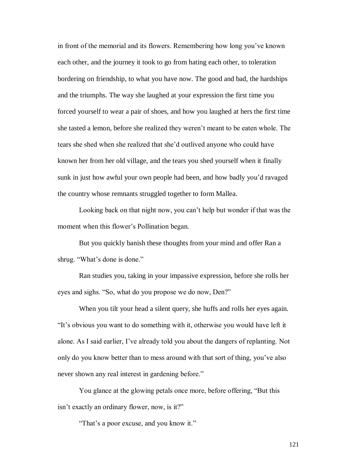in front of the memorial and its flowers. Remembering how long you've known each other, and the journey it took to go from hating each other, to toleration bordering on friendship, to what you have now. The good and bad, the hardships and the triumphs. The way she laughed at your expression the first time you forced yourself to wear a pair of shoes, and how you laughed at hers the first time she tasted a lemon, before she realized they weren't meant to be eaten whole. The tears she shed when she realized that she'd outlived anyone who could have known her from her old village, and the tears you shed yourself when it finally sunk in just how awful your own people had been, and how badly you'd ravaged the country whose remnants struggled together to form Mallea.

Looking back on that night now, you can't help but wonder if that was the moment when this flower's Pollination began.

But you quickly banish these thoughts from your mind and offer Ran a shrug. "What's done is done."

Ran studies you, taking in your impassive expression, before she rolls her eyes and sighs. "So, what do you propose we do now, Den?"

When you tilt your head a silent query, she huffs and rolls her eyes again. "It's obvious you want to do something with it, otherwise you would have left it alone. As I said earlier, I've already told you about the dangers of replanting. Not only do you know better than to mess around with that sort of thing, you've also never shown any real interest in gardening before."

You glance at the glowing petals once more, before offering, "But this isn't exactly an ordinary flower, now, is it?"

"That's a poor excuse, and you know it."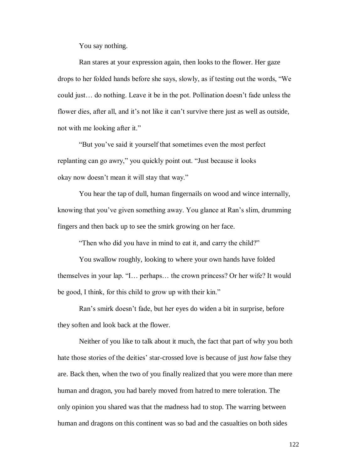You say nothing.

Ran stares at your expression again, then looks to the flower. Her gaze drops to her folded hands before she says, slowly, as if testing out the words, "We could just… do nothing. Leave it be in the pot. Pollination doesn't fade unless the flower dies, after all, and it's not like it can't survive there just as well as outside, not with me looking after it."

"But you've said it yourself that sometimes even the most perfect replanting can go awry," you quickly point out. "Just because it looks okay now doesn't mean it will stay that way."

You hear the tap of dull, human fingernails on wood and wince internally, knowing that you've given something away. You glance at Ran's slim, drumming fingers and then back up to see the smirk growing on her face.

"Then who did you have in mind to eat it, and carry the child?"

You swallow roughly, looking to where your own hands have folded themselves in your lap. "I… perhaps… the crown princess? Or her wife? It would be good, I think, for this child to grow up with their kin."

Ran's smirk doesn't fade, but her eyes do widen a bit in surprise, before they soften and look back at the flower.

Neither of you like to talk about it much, the fact that part of why you both hate those stories of the deities' star-crossed love is because of just *how* false they are. Back then, when the two of you finally realized that you were more than mere human and dragon, you had barely moved from hatred to mere toleration. The only opinion you shared was that the madness had to stop. The warring between human and dragons on this continent was so bad and the casualties on both sides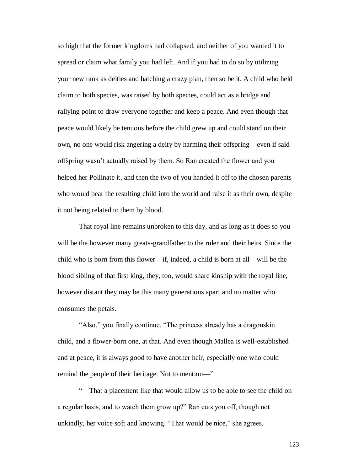so high that the former kingdoms had collapsed, and neither of you wanted it to spread or claim what family you had left. And if you had to do so by utilizing your new rank as deities and hatching a crazy plan, then so be it. A child who held claim to both species, was raised by both species, could act as a bridge and rallying point to draw everyone together and keep a peace. And even though that peace would likely be tenuous before the child grew up and could stand on their own, no one would risk angering a deity by harming their offspring—even if said offspring wasn't actually raised by them. So Ran created the flower and you helped her Pollinate it, and then the two of you handed it off to the chosen parents who would bear the resulting child into the world and raise it as their own, despite it not being related to them by blood.

That royal line remains unbroken to this day, and as long as it does so you will be the however many greats-grandfather to the ruler and their heirs. Since the child who is born from this flower—if, indeed, a child is born at all—will be the blood sibling of that first king, they, too, would share kinship with the royal line, however distant they may be this many generations apart and no matter who consumes the petals.

"Also," you finally continue, "The princess already has a dragonskin child, and a flower-born one, at that. And even though Mallea is well-established and at peace, it is always good to have another heir, especially one who could remind the people of their heritage. Not to mention—"

"—That a placement like that would allow us to be able to see the child on a regular basis, and to watch them grow up?" Ran cuts you off, though not unkindly, her voice soft and knowing. "That would be nice," she agrees.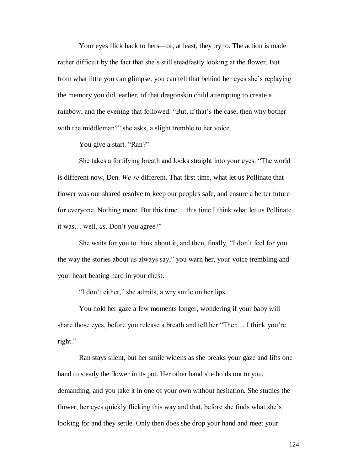Your eyes flick back to hers—or, at least, they try to. The action is made rather difficult by the fact that she's still steadfastly looking at the flower. But from what little you can glimpse, you can tell that behind her eyes she's replaying the memory you did, earlier, of that dragonskin child attempting to create a rainbow, and the evening that followed. "But, if that's the case, then why bother with the middleman?" she asks, a slight tremble to her voice.

You give a start. "Ran?"

She takes a fortifying breath and looks straight into your eyes. "The world is different now, Den. *We're* different. That first time, what let us Pollinate that flower was our shared resolve to keep our peoples safe, and ensure a better future for everyone. Nothing more. But this time… this time I think what let us Pollinate it was… well, *us*. Don't you agree?"

She waits for you to think about it, and then, finally, "I don't feel for you the way the stories about us always say," you warn her, your voice trembling and your heart beating hard in your chest.

"I don't either," she admits, a wry smile on her lips.

You hold her gaze a few moments longer, wondering if your baby will share those eyes, before you release a breath and tell her "Then… I think you're right."

Ran stays silent, but her smile widens as she breaks your gaze and lifts one hand to steady the flower in its pot. Her other hand she holds out to you, demanding, and you take it in one of your own without hesitation. She studies the flower, her eyes quickly flicking this way and that, before she finds what she's looking for and they settle. Only then does she drop your hand and meet your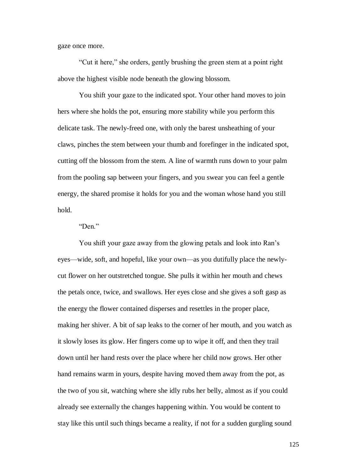gaze once more.

"Cut it here," she orders, gently brushing the green stem at a point right above the highest visible node beneath the glowing blossom.

You shift your gaze to the indicated spot. Your other hand moves to join hers where she holds the pot, ensuring more stability while you perform this delicate task. The newly-freed one, with only the barest unsheathing of your claws, pinches the stem between your thumb and forefinger in the indicated spot, cutting off the blossom from the stem. A line of warmth runs down to your palm from the pooling sap between your fingers, and you swear you can feel a gentle energy, the shared promise it holds for you and the woman whose hand you still hold.

"Den."

You shift your gaze away from the glowing petals and look into Ran's eyes—wide, soft, and hopeful, like your own—as you dutifully place the newlycut flower on her outstretched tongue. She pulls it within her mouth and chews the petals once, twice, and swallows. Her eyes close and she gives a soft gasp as the energy the flower contained disperses and resettles in the proper place, making her shiver. A bit of sap leaks to the corner of her mouth, and you watch as it slowly loses its glow. Her fingers come up to wipe it off, and then they trail down until her hand rests over the place where her child now grows. Her other hand remains warm in yours, despite having moved them away from the pot, as the two of you sit, watching where she idly rubs her belly, almost as if you could already see externally the changes happening within. You would be content to stay like this until such things became a reality, if not for a sudden gurgling sound